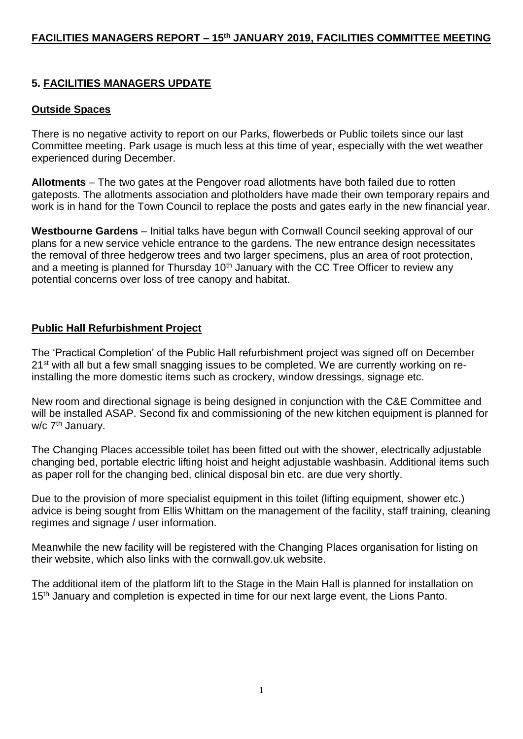# **5. FACILITIES MANAGERS UPDATE**

#### **Outside Spaces**

There is no negative activity to report on our Parks, flowerbeds or Public toilets since our last Committee meeting. Park usage is much less at this time of year, especially with the wet weather experienced during December.

**Allotments** – The two gates at the Pengover road allotments have both failed due to rotten gateposts. The allotments association and plotholders have made their own temporary repairs and work is in hand for the Town Council to replace the posts and gates early in the new financial year.

**Westbourne Gardens** – Initial talks have begun with Cornwall Council seeking approval of our plans for a new service vehicle entrance to the gardens. The new entrance design necessitates the removal of three hedgerow trees and two larger specimens, plus an area of root protection, and a meeting is planned for Thursday 10<sup>th</sup> January with the CC Tree Officer to review any potential concerns over loss of tree canopy and habitat.

#### **Public Hall Refurbishment Project**

The 'Practical Completion' of the Public Hall refurbishment project was signed off on December 21st with all but a few small snagging issues to be completed. We are currently working on reinstalling the more domestic items such as crockery, window dressings, signage etc.

New room and directional signage is being designed in conjunction with the C&E Committee and will be installed ASAP. Second fix and commissioning of the new kitchen equipment is planned for w/c 7<sup>th</sup> January.

The Changing Places accessible toilet has been fitted out with the shower, electrically adjustable changing bed, portable electric lifting hoist and height adjustable washbasin. Additional items such as paper roll for the changing bed, clinical disposal bin etc. are due very shortly.

Due to the provision of more specialist equipment in this toilet (lifting equipment, shower etc.) advice is being sought from Ellis Whittam on the management of the facility, staff training, cleaning regimes and signage / user information.

Meanwhile the new facility will be registered with the Changing Places organisation for listing on their website, which also links with the cornwall.gov.uk website.

The additional item of the platform lift to the Stage in the Main Hall is planned for installation on 15<sup>th</sup> January and completion is expected in time for our next large event, the Lions Panto.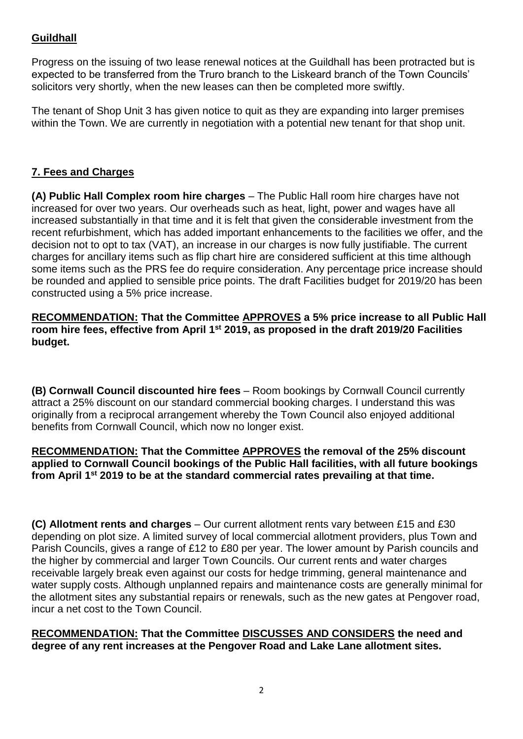# **Guildhall**

Progress on the issuing of two lease renewal notices at the Guildhall has been protracted but is expected to be transferred from the Truro branch to the Liskeard branch of the Town Councils' solicitors very shortly, when the new leases can then be completed more swiftly.

The tenant of Shop Unit 3 has given notice to quit as they are expanding into larger premises within the Town. We are currently in negotiation with a potential new tenant for that shop unit.

## **7. Fees and Charges**

**(A) Public Hall Complex room hire charges** – The Public Hall room hire charges have not increased for over two years. Our overheads such as heat, light, power and wages have all increased substantially in that time and it is felt that given the considerable investment from the recent refurbishment, which has added important enhancements to the facilities we offer, and the decision not to opt to tax (VAT), an increase in our charges is now fully justifiable. The current charges for ancillary items such as flip chart hire are considered sufficient at this time although some items such as the PRS fee do require consideration. Any percentage price increase should be rounded and applied to sensible price points. The draft Facilities budget for 2019/20 has been constructed using a 5% price increase.

**RECOMMENDATION: That the Committee APPROVES a 5% price increase to all Public Hall room hire fees, effective from April 1st 2019, as proposed in the draft 2019/20 Facilities budget.**

**(B) Cornwall Council discounted hire fees** – Room bookings by Cornwall Council currently attract a 25% discount on our standard commercial booking charges. I understand this was originally from a reciprocal arrangement whereby the Town Council also enjoyed additional benefits from Cornwall Council, which now no longer exist.

**RECOMMENDATION: That the Committee APPROVES the removal of the 25% discount applied to Cornwall Council bookings of the Public Hall facilities, with all future bookings from April 1st 2019 to be at the standard commercial rates prevailing at that time.**

**(C) Allotment rents and charges** – Our current allotment rents vary between £15 and £30 depending on plot size. A limited survey of local commercial allotment providers, plus Town and Parish Councils, gives a range of £12 to £80 per year. The lower amount by Parish councils and the higher by commercial and larger Town Councils. Our current rents and water charges receivable largely break even against our costs for hedge trimming, general maintenance and water supply costs. Although unplanned repairs and maintenance costs are generally minimal for the allotment sites any substantial repairs or renewals, such as the new gates at Pengover road, incur a net cost to the Town Council.

**RECOMMENDATION: That the Committee DISCUSSES AND CONSIDERS the need and degree of any rent increases at the Pengover Road and Lake Lane allotment sites.**